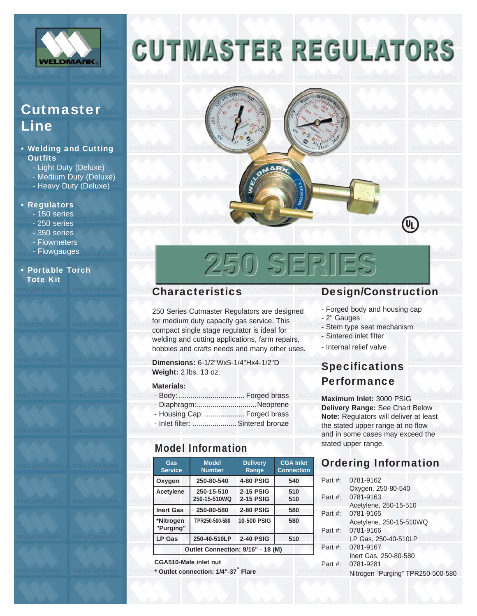

# Cutmaster Line

#### • Welding and Cutting **Outfits**

- Light Duty (Deluxe)
- Medium Duty (Deluxe)
- Heavy Duty (Deluxe)

#### • Regulators

- 150 series
- 250 series
- 350 series
- Flowmeters
- Flowgauges

#### • Portable Torch Tote Kit





# 250 SERIES

#### **Characteristics**

250 Series Cutmaster Regulators are designed for medium duty capacity gas service. This compact single stage regulator is ideal for welding and cutting applications, farm repairs, hobbies and crafts needs and many other uses.

#### **Dimensions:** 6-1/2"Wx5-1/4"Hx4-1/2"D **Weight:** 2 lbs. 13 oz.

#### **Materials:**

- Body: ................................. Forged brass
- Diaphragm: .............................. Neoprene
- Housing Cap: .................... Forged brass
- Inlet filter: ...................... Sintered bronze

## Model Information

| Gas<br><b>Service</b>  | <b>Model</b><br><b>Number</b>     | <b>Delivery</b><br>Range             | <b>CGA Inlet</b><br><b>Connection</b> |
|------------------------|-----------------------------------|--------------------------------------|---------------------------------------|
| Oxygen                 | 250-80-540                        | <b>4-80 PSIG</b>                     | 540                                   |
| <b>Acetylene</b>       | 250-15-510<br>250-15-510WQ        | <b>2-15 PSIG</b><br><b>2-15 PSIG</b> | 510<br>510                            |
| <b>Inert Gas</b>       | 250-80-580                        | <b>2-80 PSIG</b>                     | 580                                   |
| *Nitrogen<br>"Purging" | TPR250-500-580                    | 10-500 PSIG                          | 580                                   |
| <b>LP Gas</b>          | 250-40-510LP                      | <b>2-40 PSIG</b>                     | 510                                   |
|                        | Outlet Connection: 9/16" - 18 (M) |                                      |                                       |

**CGA510-Male inlet nut**

**\* Outlet connection: 1/4"-37° Flare**

#### Design/Construction

U<sub>L</sub>

- Forged body and housing cap
- 2" Gauges
- Stem type seat mechanism
- Sintered inlet filter
- Internal relief valve

# Specifications **Performance**

**Maximum Inlet:** 3000 PSIG **Delivery Range:** See Chart Below **Note:** Regulators will deliver at least the stated upper range at no flow and in some cases may exceed the stated upper range.

## Ordering Information

| Part $#$ : | 0781-9162                         |
|------------|-----------------------------------|
|            | Oxygen, 250-80-540                |
| Part #:    | 0781-9163                         |
|            | Acetylene, 250-15-510             |
| Part #:    | 0781-9165                         |
|            | Acetylene, 250-15-510WQ           |
| Part #:    | 0781-9166                         |
|            | LP Gas, 250-40-510LP              |
| Part #:    | 0781-9167                         |
|            | Inert Gas, 250-80-580             |
| Part #:    | 0781-9281                         |
|            | Nitrogen "Purging" TPR250-500-580 |